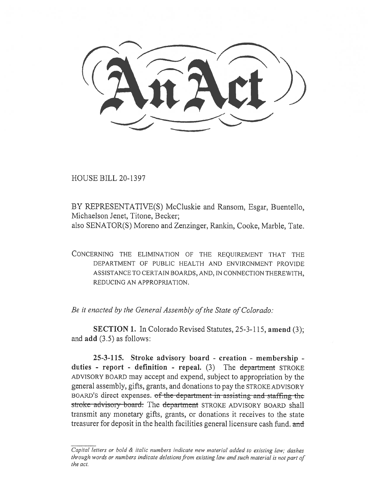HOUSE BILL 20-1397

BY REPRESENTATIVE(S) McCluskie and Ransom, Esgar, Buentello, Michaelson Jenet, Titone, Becker;

also SENATOR(S) Moreno and Zenzinger, Rankin, Cooke, Marble, Tate.

CONCERNING THE ELIMINATION OF THE REQUIREMENT THAT THE DEPARTMENT OF PUBLIC HEALTH AND ENVIRONMENT PROVIDE ASSISTANCE TO CERTAIN BOARDS, AND, IN CONNECTION THEREWITH, REDUCING AN APPROPRIATION.

*Be it enacted by the General Assembly of the State of Colorado:* 

SECTION 1. In Colorado Revised Statutes, 25-3-115, amend (3); and add (3.5) as follows:

25-3-115. Stroke advisory board - creation - membership duties - report - definition - repeal.  $(3)$  The department STROKE ADVISORY BOARD may accept and expend, subject to appropriation by the general assembly, gifts, grants, and donations to pay the STROKE ADVISORY BOARD'S direct expenses. of the department in assisting and staffing the stroke advisory board. The department STROKE ADVISORY BOARD shall transmit any monetary gifts, grants, or donations it receives to the state treasurer for deposit in the health facilities general licensure cash fund. and

*Capital letters or bold & italic numbers indicate new material added to existing law; dashes through words or numbers indicate deletions from existing law and such material is not part of the act.*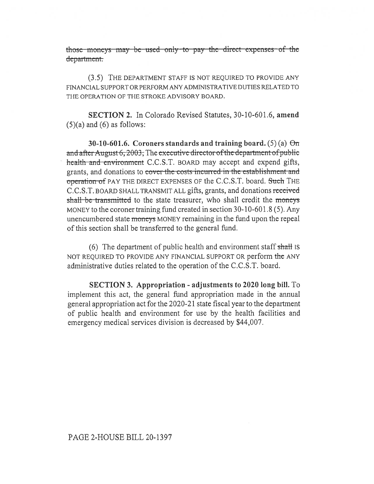those moneys may be used only to pay the direct expenses of the department.

(3.5) THE DEPARTMENT STAFF IS NOT REQUIRED TO PROVIDE ANY FINANCIAL SUPPORT OR PERFORM ANY ADMINISTRATIVE DUTIES RELATED TO THE OPERATION OF THE STROKE ADVISORY BOARD.

**SECTION 2.** In Colorado Revised Statutes, 30-10-601.6, amend  $(5)(a)$  and  $(6)$  as follows:

30-10-601.6. Coroners standards and training board. (5) (a)  $\Theta$ m and after August 6, 2003, The executive director of the department of public health and environment C.C.S.T. BOARD may accept and expend gifts, grants, and donations to cover the costs incurred in the establishment and operation of PAY THE DIRECT EXPENSES OF the C.C.S.T. board. Such THE C.C.S.T. BOARD SHALL TRANSMIT ALL gifts, grants, and donations received shall be transmitted to the state treasurer, who shall credit the moneys MONEY to the coroner training fund created in section 30-10-601.8 (5). Any unencumbered state moneys MONEY remaining in the fund upon the repeal of this section shall be transferred to the general fund.

(6) The department of public health and environment staff shall is NOT REQUIRED TO PROVIDE ANY FINANCIAL SUPPORT OR perform the ANY administrative duties related to the operation of the C.C.S.T. board.

**SECTION 3. Appropriation - adjustments to 2020 long bill.** To implement this act, the general fund appropriation made in the annual general appropriation act for the 2020-21 state fiscal year to the department of public health and environment for use by the health facilities and emergency medical services division is decreased by \$44,007.